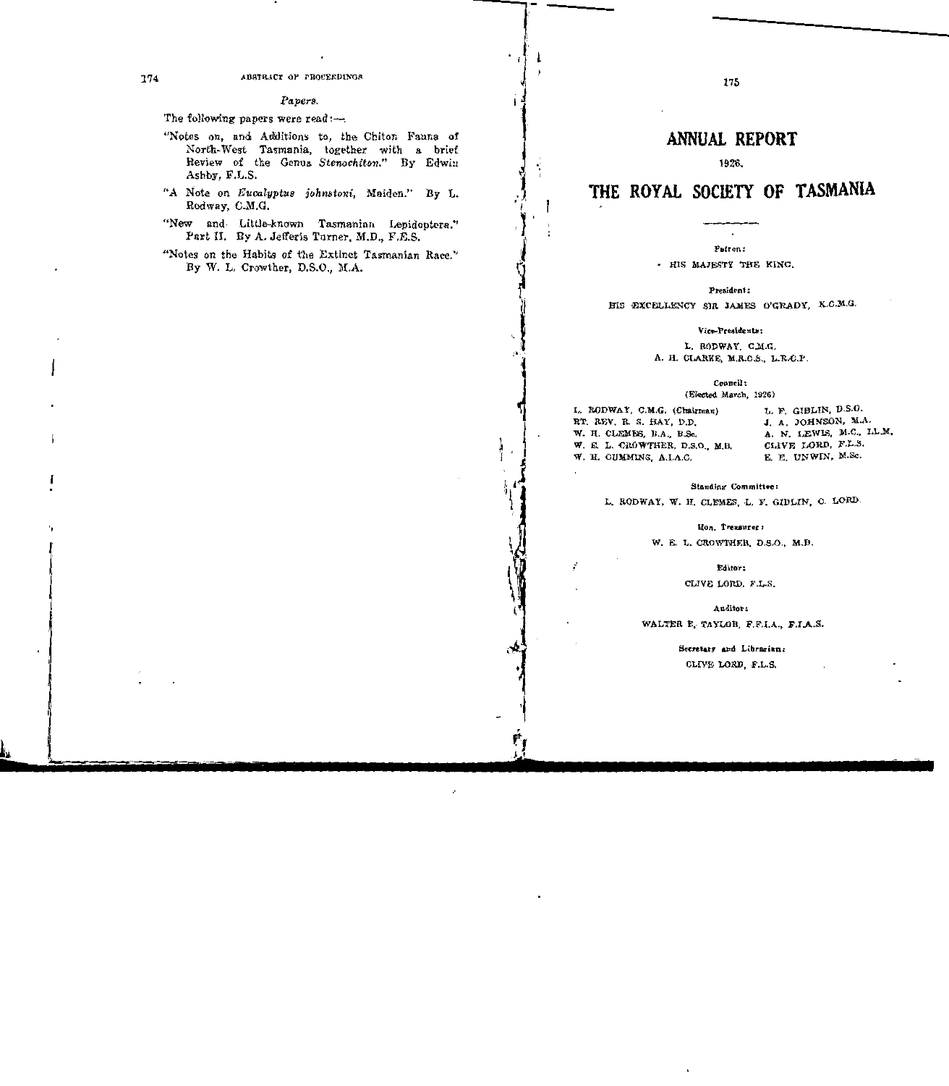1926.

# THE ROYAL SOCIETY OF TASMANIA

Patron:

- HIS MAJESTY THE KING.

President:

HIS EXCELLENCY SIR JAMES O'GRADY, K.C.M.G.

Vice-Presidents:

L. RODWAY, C.M.G. A. H. CLARKE, M.R.C.S., L.R.C.P.

Council:

(Elected March, 1926)

L. RODWAY, C.M.G. (Chairman) RT. REV. R. S. HAY, D.D. W. H. CLEMES, D.A., B.Sc. W. E. L. CROWTHER, D.S.O., M.B. W. H. CUMMINS, A.I.A.C.

L k.

Ŷ

I

÷

ı.

ŗ,

L. F. GIBLIN, D.S.O. J. A. JOHNSON, M.A. A. N. LEWIS, M.C., LL.M. CLIVE LORD, F.L.S. E. E. UNWIN, M.Sc.

 $\overline{\mathcal{C}}$ 

**Standing Committee:** 

L. RODWAY, W. H. CLEMES, L. F. GIBLIN, C. LORD.

Hon. Treasurer:

W. E. L. CROWTHER, D.S.O., M.B.

Editor:

CLIVE LORD, F.L.S.

Auditor:

WALTER E, TAYLOR, F.F.I.A., F.I.A.S.

Secretary and Librarian: CLIVE LORD, F.L.S.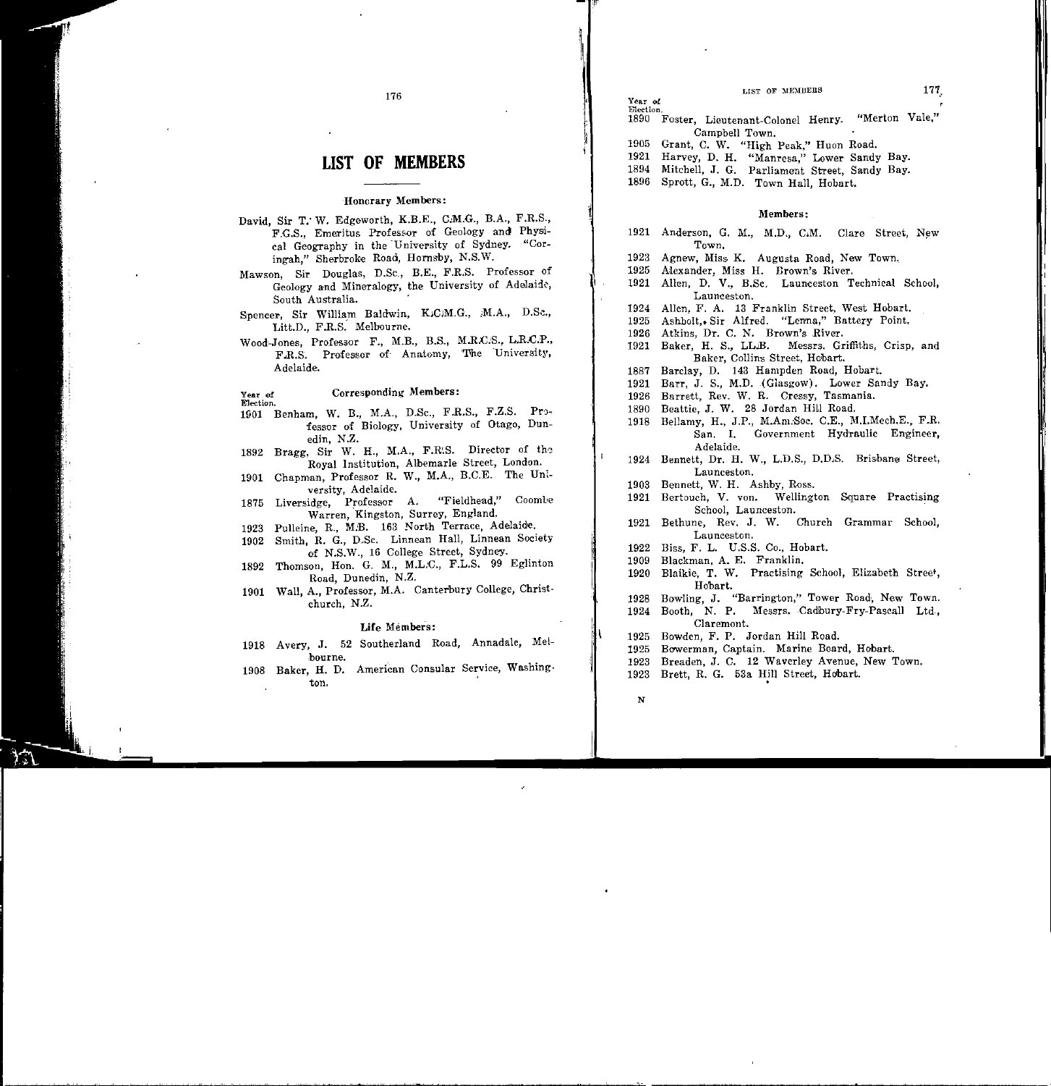|  |  | LIST OF MEMBERS |
|--|--|-----------------|
|--|--|-----------------|

# **LIST OF MEMBERS**

176

### Honorary Members:

- David, Sir T. W. Edgeworth, K.B.E., C.M.G., B.A., F.R.S., F.G.S., Emeritus Professor of Geology and Physical Geography in the University of Sydney. "Coringah," Sherbroke Road, Hornsby, N.S.W.
- Mawson, Sir Douglas, D.Sc., B.E., F.R.S. Professor of Geology and Mineralogy, the University of Adelaide. South Australia.
- Spencer, Sir William Baldwin, K.C.M.G., M.A., D.Sc., Litt.D., F.R.S. Melbourne.
- Wood-Jones, Professor F., M.B., B.S., M.R.C.S., L.R.C.P., F.R.S. Professor of Anatomy, The University, Adelaide.

Corresponding Members: Year of Election.

- 1901 Benham, W. B., M.A., D.Sc., F.R.S., F.Z.S. Professor of Biology, University of Otago, Dunedin, N.Z.
- 1892 Bragg, Sir W. H., M.A., F.R.S. Director of the Royal Institution, Albemarle Street, London.
- Chapman, Professor R. W., M.A., B.C.E. The Uni-1901 versity. Adelaide.
- "Fieldhead," Coombe 1875 Liversidge, Professor A. Warren, Kingston, Surrey, England.
- Pulleine, R., M.B. 163 North Terrace, Adelaide, 1923
- Smith, R. G., D.Sc. Linnean Hall, Linnean Society 1902 of N.S.W., 16 College Street, Sydney.
- Thomson, Hon. G. M., M.L.C., F.L.S. 99 Eglinton 1892 Road, Dunedin, N.Z.
- 1901 Wall, A., Professor, M.A. Canterbury College, Christchurch, N.Z.

### Life Members:

- 1918 Avery, J. 52 Southerland Road, Annadale, Meibourne.
- 1908 Baker, H. D. American Consular Service, Washington.

Election. "Merton Vale," 1890 Foster, Lieutenant-Colonel Henry. Campbell Town. 1905 Grant, C. W. "High Peak," Huon Road. 1921 Harvey, D. H. "Manresa," Lower Sandy Bay. 1894 Mitchell, J. G. Parliament Street, Sandy Bay.

1896 Sprott, G., M.D. Town Hall, Hobart.

Year of

#### Members:

- 1921 Anderson, G. M., M.D., C.M. Clare Street, New Town.
- 1923 Agnew, Miss K. Augusta Road, New Town.
- Alexander, Miss H. Brown's River. 1925
- 1921 Allen, D. V., B.Sc., Launceston Technical School, Launceston.
- 1924 Allen, F. A. 13 Franklin Street, West Hobart.
- Ashbolt, Sir Alfred. "Lenna," Battery Point. 1925
- Atkins, Dr. C. N. Brown's River. 1926
- 1921 Baker, H. S., LL.B. Messrs. Griffiths, Crisp, and Baker, Collins Street, Hobart.
- Barclay, D. 143 Hampden Road, Hobart. 1887
- Barr, J. S., M.D. (Glasgow). Lower Sandy Bay. 1921
- Barrett, Rev. W. R. Cressy, Tasmania. 1926
- 1890 Beattie, J. W. 28 Jordan Hill Road.
- 1918 Bellamy, H., J.P., M.Am.Soc. C.E., M.I.Mech.E., F.R. San, I, Government Hydraulic Engineer, Adelaide.
- Bennett, Dr. H. W., L.D.S., D.D.S. Brisbane Street, 1924 Launceston.
- Bennett, W. H. Ashby, Ross. 1903
- 1921 Bertouch, V. von. Wellington Square Practising School. Launceston.
- 1921 Bethune, Rev. J. W. Church Grammar School, Launceston,
- Biss, F. L. U.S.S. Co., Hobart. 1922
- Blackman, A. E. Franklin. 1909
- Blaikie, T. W. Practising School, Elizabeth Street, 1920 Hobart.
- Bowling, J. "Barrington," Tower Road, New Town. 1928
- Booth, N. P. Messrs. Cadbury-Fry-Pascall Ltd. 1924 Claremont.
- 1925 Bowden, F. P. Jordan Hill Road.
- Bowerman, Captain, Marine Board, Hobart, 1925
- 1923 Breaden, J. C. 12 Waverley Avenue, New Town.
- Brett, R. G. 53a Hill Street, Hobart. 1923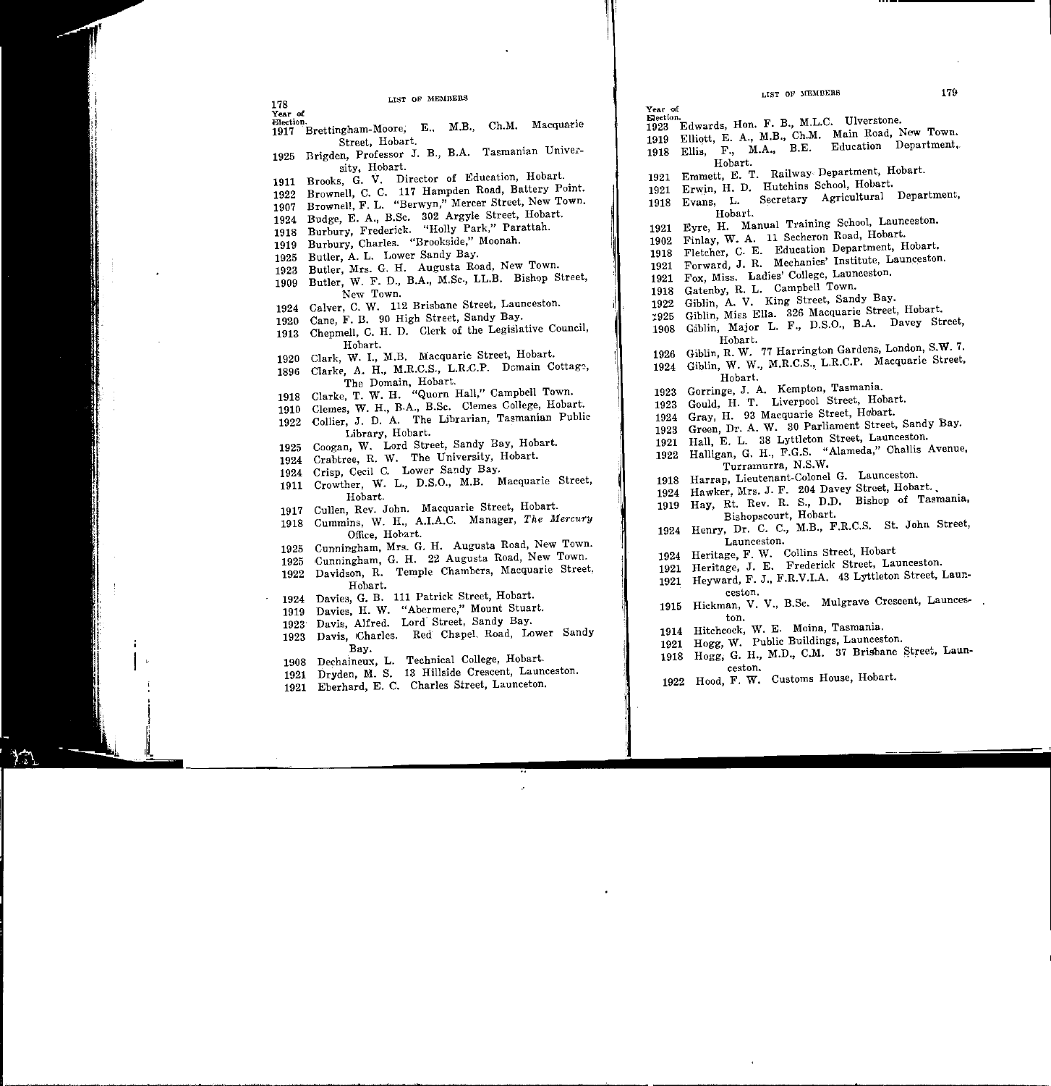Year of

 $\bullet$ 

Election. Election. 1917 Brettingham-Moore, E., M.B., Ch.M. Macquarie Street, Hobart.

- 1925 Brigden, Professor J. B., B.A. Tasmanian University, Hobart.
- 1911 Brooks, G. V. Director of Education, Hobart.
- 1922 Brownell, C. C. 117 Hampden Road, Battery Point.
- 1907 Brownell, F. L. "Berwyn," Mercer Street, New Town.
- 1924 Budge, E. A., B.Sc. 302 Argyle Street, Hobart.
- 1918 Burbury, Frederick. "Holly Park," Parattah.
- 1919 Burbury, Charles. "Brookside," Moonah.
- 1925 Butler, A. L. Lower Sandy Bay.
- 1923 Butler, Mrs. G. H. Augusta Road, New Town.
- 1909 Butler, W. F. D., B.A., M.Sc., LL.B. Bishop Street, New Town.
- 1924 Calver, C. W. 112 Brisbane Street, Launceston.
- 1920 Cane, F. B. 90 High Street, Sandy Bay.
- 1913 Chepmell, C. H. D. Clerk of the LegiSlative Council, Hobart.
- 1920 Clark, W. I., M.B. Macquarie Street, Hobart.
- 1896 Clarke, A. H., M.R.C.S., L.R.C.P. Domain The Domain, Hobart.
- 1918 Clarke, T. W. H. "Quorn Hall," Campbell Town.
- 1910 Clemes, W. H., B.A., B.Sc. Clemes College, Hobart-.
- 1922 Collier, J. D. A. The Librarian, Tasmanian Public Library, Hobart.
- 1925 Coogan, W. Lord Street, Sandy Bay, Hobart.
- 1924 Crabtree, R. W. The University, Hobart.
- 1924 Crisp, Cecil C. Lower Sandy Bay.
- 1911 Crowther, W. L., D.S.O., M.B. Macquarie Street, Hobart.
- 1917 Cullen, Rev. John. Macquarie Street, Hobart.
- 1918 Cummins, W. H., A.I.A.C. Manager, *The Mercury* Office, Hobart.
- 1925 Cunningham, Mrs. G. H. Augusta Road, New Town.
- 1925 Cunningham, G. H. 22 Augusta Road, New Town.
- 1922 Davidson, R. Temple Chambers, Macquarie Street, Hobart.
- 1924 Davies, G. B. 111 Patrick Street, Hobart.
- 1919 Davies, H. W. "Abermere," Mount Stuart.
- 1923 Davis, Alfred. Lord' Street, Sandy Bay.
- 1923 Davis, 1Charles. Red ChapeL Road, Lower Sandy Bay.
- 1908 Dechaineux, L. Technical College, Hobart.
- 1921 Dryden, M. S. 13 Hillside Crescent, Launceston.
- 1921 Eberhard, E. C. Charles Street, Launceton.

1923 Edwards, Hon. F. B., M.L.C. Ulverstone. 1919 Elliott, E. A., M.B., Ch.M. Main Road, New Town.<br>1919 Ellia E. M.A. R.E. Education Department. 1918 Ellis, F., M.A., B.E.

- Hobart.
- 1921 Emmett, E. T. Railway- Department, Hobart.
- 1921 Erwin, H. D. Hutchins School, Hobart.
- -<br>1918 Secretary Agricultural Department, Hobart.
- Eyre, H. Manual Training School, Launceston.
- 1921 1902 Finlay, W. A. 11 Secheron Road, Hobart.
- 1918 Fletcher, C. E. Education Department, Hobart.
- 1921 Forward, J. R. Mechanics' Institute, Launceston.
- 1921 Fox, Miss. Ladies' College, Launceston.
- 1918 Gatenby, R. L. Campbell Town.
- 1922 Giblin, A. V. King Street, Sandy Bay.
- 1925 Giblin, Miss Ella. 326 Macquarie Street, Hobart.
- 1908 G;iblin, Major L. F., D.S.O., B.A. Davey Street, Hobart.
- 1926  $R$ . W. 77 Harrington Gardens, London, S.W. 7.
- 1924 Giblin, W. W., M.R.C.S., L.R.C.P. Macquarie Street, Hobart.
- 1923 Gorringe, J. A. Kempton, Tasmania.
- 1923 Gould, H. T. Liverpool Street, Hobart.
- 1924 Gray, H. 93 Macquarie Street, Hobart.
- 1923 Green, Dr. A. W. 30 Parliament Street, Sandy Bay.
- 1921 Hall, E. L. 38 Lyttleton Street, Launceston.
- 1922 Halligan, G. H., F.G.S. "Alameda," Challis Avenue, Turramurra, N.S.W.
- 1918 Harrap, Lieutenant-Colonel G. Launceston.
- 1924 Hawker, Mrs. J. F. 204 Davey Street, Hobart...
- 1919 Hay, Rt. Rev. R. S., D.D. Bishop of Tasmania, Eishopscourt, Hobart.
- 1924 Henry, Dr. C. C., M.B., F.R.C.S. St. John Street, Launceston.
- 1924 Heritage, F. W. Collins Street, Hobart
- 1921 Heritage, J. E. Frederick Street, Launceston.
- 1921 Heyward, F. J., F.R.V.I.A. 43 Lyttleton Street, Launceston.
- 1915 Hickman, V. V., B.Sc. Mulgrave Crescent, Launceston.
	- 1914 Hitchcock, W. E. Moina, Tasmania.
- 1921 Hogg, W. Public Buildings, Launceston.
- 1918 Hogg, G. H., M.D., C.M. 37 Brisbane Street, Launceston.
- 1922 Hood, F. W. Customs House, Hobart.

Year af Election.

'1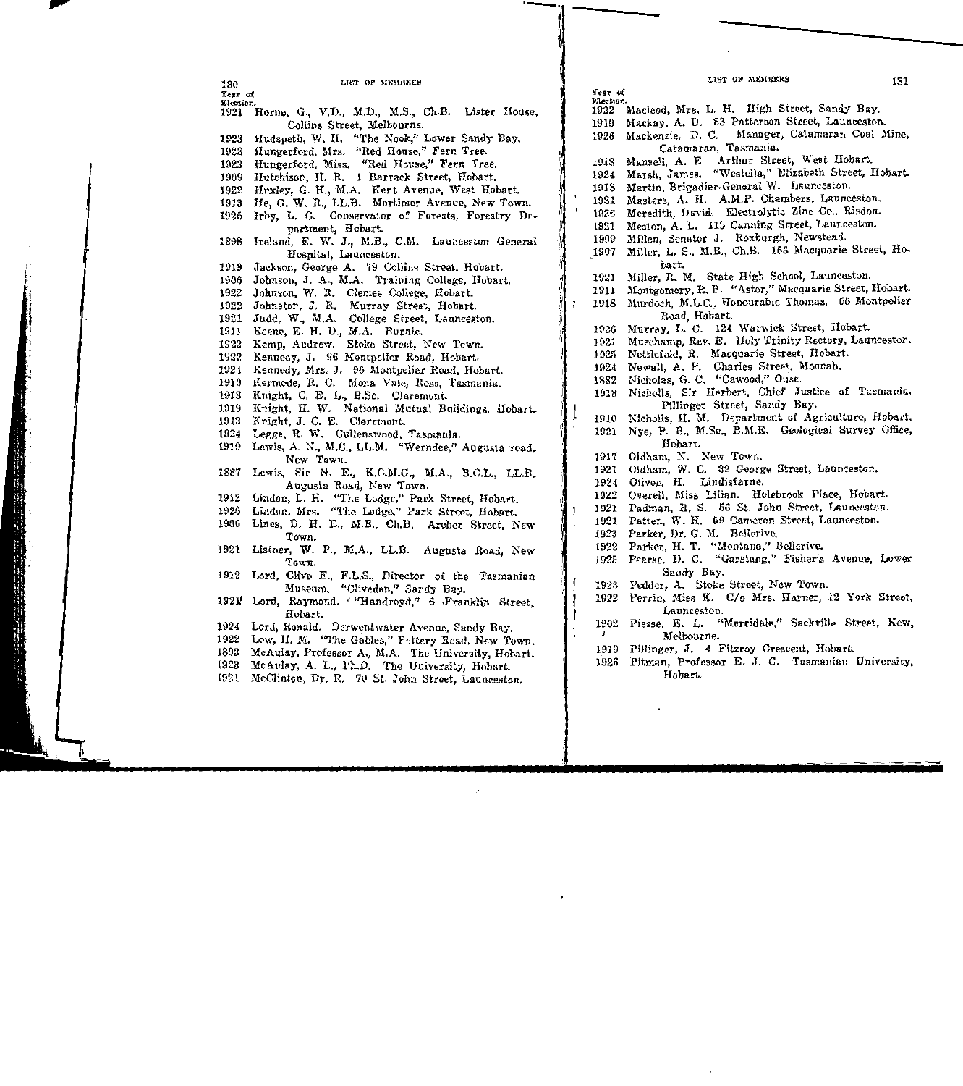|  |           | LIST OF MEMBERS<br>181                               |
|--|-----------|------------------------------------------------------|
|  | Year of   |                                                      |
|  | Election. |                                                      |
|  | 1922      | Macleod, Mrs. L. H. High Street, Sandy Bay.          |
|  | 1919      | Mackay, A. D. 83 Patterson Street, Launceston.       |
|  |           | 1926 Mackenzie, D. C. Manager, Catamaran Coal Mine,  |
|  |           | Catamaran, Tasmania.                                 |
|  | 1918      | Mansell, A. E. Arthur Street, West Hobart.           |
|  | 1924      | Marsh, James. "Westella," Elizabeth Street, Hobart.  |
|  | 1918      | Martin, Brigadier-General W. Launceston.             |
|  | 1921      | Masters, A. H. A.M.P. Chambers, Launceston.          |
|  | 1926      | Meredith, David. Electrolytic Zinc Co., Risdon.      |
|  | 1921      | Meston, A. L. 115 Canning Street, Launceston.        |
|  | 1909      | Millen, Senator J. Roxburgh, Newstead.               |
|  | 1907      | Miller, L. S., M.B., Ch.B. 156 Macquarie Street, Ho- |
|  |           | bart.                                                |
|  | 1921      | Miller, R. M. State High School, Launceston.         |
|  | 1911      | Montgomery, R. B. "Astor," Macquarie Street, Hobart. |
|  | 1918      | Murdoch, M.L.C., Honourable Thomas. 55 Montpelier    |
|  |           | Road Hobart.                                         |
|  | 1926      | Murray, L. C. 124 Warwick Street, Hobart.            |
|  |           |                                                      |

- 1921 Muschamp, Rev. E. Holy Trinity Rectory, Launceston.
- 1925 Nettlefold, R. Macquarie Street, Hobart.
- 1924 Newall, A. P. Charles Street, Moonah.
- 1882 Nicholas, G. C. "Cawood," Ouse.
- 1918 Nicholls, Sir Herbert, Chief Justice of Tasmania. Fillinger Street, Sandy Bay.
- 1910 Nicholls, H. M. Department of Agriculture, Hobart.
- 1921 Nye, P. B., M.Sc., B.M.E. Geological Survey Office, Hobart.
- 1917 Oldham, N. New Town.
- 1921 Oldham, W. C. 39 George Street, Launceston.
- 1924 Olivev, H. Lindisfarne.
- 1922 Overell, Miss Lilian. Holebrook Place, Hobart.
- 1921 Padman, R. S. 56 St. John Street, Launceston.
- 1921 Patten, W. H. 59 Cameron Street, Launceston.
- 1923 Parker, Dr. G. M. Bellerive..
- 1922 Parker, H. T. "Montana," Bellerive.
- 1925 Pearse, D. C. "Garstang," Fisher's Avenue, Lower Sandy Bay.
- 1923 Fedder, A. Stoke Street, New Town.
- 1922 Perrin, Miss K. C/o Mrs. Harner, 12 York Street, Launceston.
- 1902 Piesse, E. L. "Merrida1e," Sackville Street, Kew,  $\mathbf{r}$ Melbourne.
- 1910 Pillinger, J. 4 Fitzroy Crescent, Hobart.
- 1926 Pitman, Professor E. J. G. Tasmanian University, Hobart.

LIST OF MEMBERS

180 Year of EJeciion.

1921 Horne, G., V.D., M.D., M.S., Ch.B. Lister House, Collins Street, Melbourne. 1923 Hudspeth, W. H. "The Nook," Lower Sandy Bay. 1923 Hungerford, Mrs. "Red House." Fern Tree. 1923 Hungerford, Miss. "Red House," Fern Tree. 1909 Hutchison, H. R. 1 Barrack Street, Hobart. 1922 Huxley, G. H., M.A. Kent Avenue, West Hobart. 1913 Ife, G. W. R., LL.B. Mortimer Avenue, New Town. 1925 Irby, L. G. Conservator of Forests, Forestry Department, Hobart. 1898 Ireland, E. W. J., M.B., C.M. Launceston General Hospital, Launceston. 1919 Jackson, George A. 79 Collins Street, Hobart. 1906 Johnson, J. A., M.A. Training College, Hobart. 1922 Johnson, W. R. Clemes College, Hobart. 1922 Johnston, J. R. Murray Street, Hobart. 1921 Judd, W., M.A. College Street, Launceston. 1911 Keene, E. H. D., M.A. Burnie. 1922 Kemp, Andrew. Stoke Street, New Town. 1922 Kennedy, J. 96 Montpelier Road, Hobart. 1924 Kennedy, Mrs. J. 96 Montpelier Road, Hobart. 1910 Kermode, R. C. Mona Vale, Ross, Tasmania. 1918 Knight, C. E. L., B.Sc. Claremont. 1919 Knight, H. W. National Mutual Buildings, Hobart. 1913 Knight, J. C. E. Claremont. 1924 Legge, R. W. Culienswood, Tasmania. 1919 Lewis, A. N., M.C., LL.M. "Werndee," Augusta road,. New Town. 1887 Lewis, Sir N. E., K.C.M.G., M.A., B.C.L., LL.B. Augusta Road, New Town. 1912 Lindon, L. H. "The Lodge," Park Street, Hobart. 1926 Lindon, Mrs. "The Lodge," Park Street, Hobart. 1900 Lines, D. H. E., M.B., Ch.B. Archer Street, New Town. 1921 Listner, W. P., M.A., LL.B. Augusta Road, New Town. 1912 Lord, Clive E., F.L.S., Director of the Tasmanian Museum. "Cliveden," Sandy Bay. 1921! Lord, Raymond. ""Handroyd," 6 Franklin Street, Hobart. 1924 Lord, Ronald. Derwentwnter Avenue, Sandy Bay. 1922 Low, H. M. "The Gables," Pottery Road, New Town. 1893 McAulay, Professor A., M.A. The University, Hobart. 1923 McAulay, A. L., Ph.D. The University, Hobart. 1921 McClinton, Dr. R. 70 St. John Street, Launceston,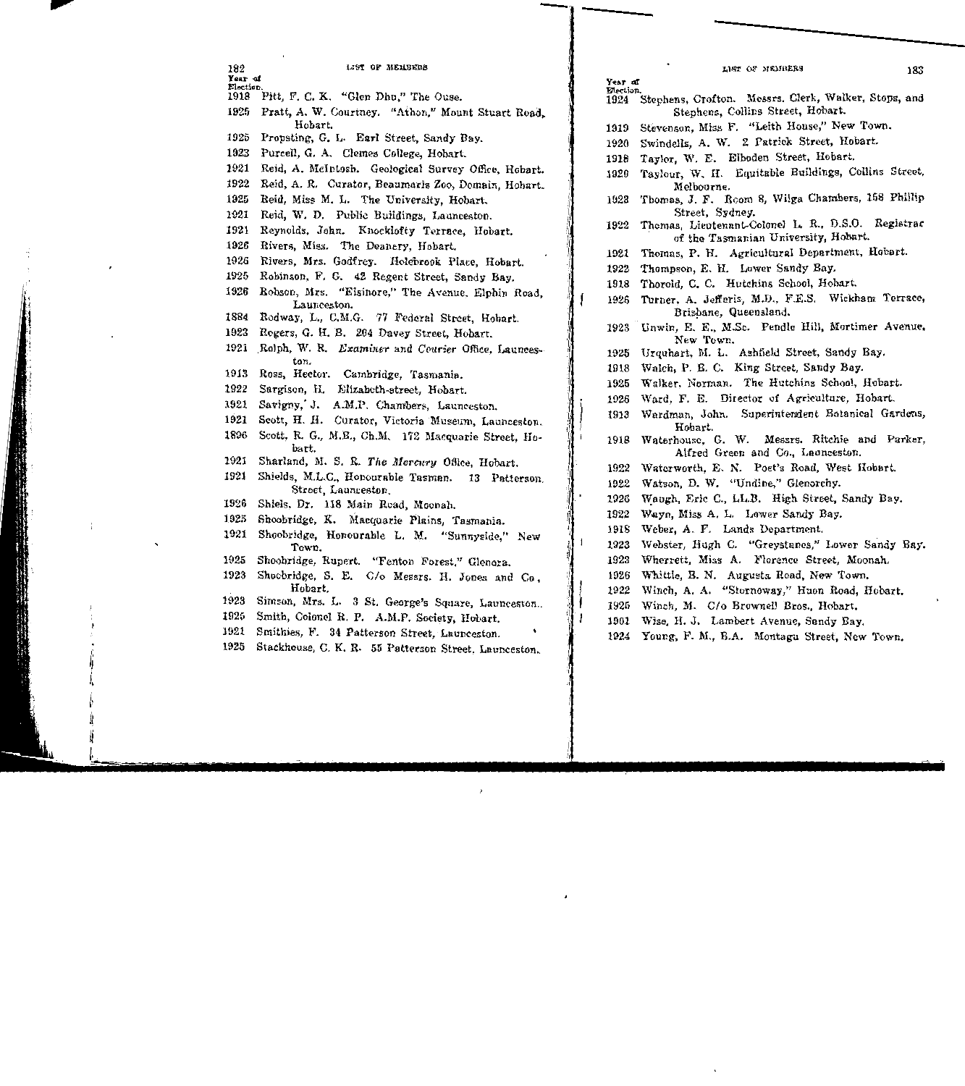| 182          | LIST OF MEMBERS                                                                                        | LIST OF MEMBERS                                                               | 183 |
|--------------|--------------------------------------------------------------------------------------------------------|-------------------------------------------------------------------------------|-----|
| Year of      |                                                                                                        | Year of                                                                       |     |
| Election.    | 1918 Pitt, F. C. K. "Glen Dhu," The Ouse.                                                              | Election.<br>1924 Stephens, Crofton. Messrs. Clerk, Walker, Stops, and        |     |
| 1925         | Pratt, A. W. Courtney. "Athon," Mount Stuart Road,                                                     | Stephens, Collins Street, Hobart.                                             |     |
|              | Hobart.                                                                                                | Stevenson, Miss F. "Leith House," New Town.<br>1919                           |     |
| 1925         | Propsting, G. L. Earl Street, Sandy Bay.                                                               | Swindells, A. W. 2 Patrick Street, Hobart.<br>1920                            |     |
| 1923         | Purcell, G. A. Clemes College, Hobart.                                                                 | Taylor, W. E. Elboden Street, Hobart.<br>1918                                 |     |
| 1921         | Reid, A. McIntosh. Geological Survey Office, Hobart.                                                   | Taylour, W. H. Equitable Buildings, Collins Street,<br>1920                   |     |
| 1922         | Reid, A. R. Curator, Beaumaris Zoo, Domain, Hobart.                                                    | Melbourne.                                                                    |     |
| 1925         | Reid, Miss M. L. The University, Hobart.                                                               | Thomas, J. F. Room 8, Wilga Chambers, 158 Phillip<br>1923                     |     |
| 1921         | Reid, W. D. Public Buildings, Launceston.                                                              | Street, Sydney.<br>Themas, Lieutenant-Colonel L. R., D.S.O. Registrar<br>1922 |     |
| 1921         | Reynolds, John. Knocklofty Terrace, Hobart.                                                            | of the Tasmanian University, Hobart.                                          |     |
| 1926         | Rivers, Miss. The Deanery, Hobart.                                                                     | Thomas, P. H. Agricultural Department, Hobart.<br>1921                        |     |
| 1926         | Rivers, Mrs. Godfrey. Holebrook Place, Hobart.                                                         | Thompson, E. H. Lower Sandy Bay.<br>1922                                      |     |
| 1925         | Robinson, F. G. 42 Regent Street, Sandy Bay.                                                           | Thorold, C. C. Hutchins School, Hobart.<br>1918                               |     |
| 1926         | Robson, Mrs. "Elsinore," The Avenue, Elphin Road.                                                      | Turner, A. Jefferis, M.D., F.E.S. Wickham Terrace,<br>1926                    |     |
| 1884         | Launceston.<br>Rodway, L., C.M.G. 77 Federal Street, Hobart.                                           | Brisbane, Queensland.                                                         |     |
| 1923         | Rogers, G. H. B. 204 Davey Street, Hobart.                                                             | 1923 Unwin, E. E., M.Sc. Pendle Hill, Mortimer Avenue,                        |     |
|              | 1921 Rolph, W. R. Examiner and Courier Office, Launces-                                                | New Town.                                                                     |     |
|              | ton.                                                                                                   | Urquhart, M. L. Ashfield Street, Sandy Bay.<br>1925                           |     |
| 1913         | Ross, Hector. Cambridge, Tasmania.                                                                     | Walch, P. B. C. King Street, Sandy Bay.<br>1918                               |     |
| 1922         | Sargison, H. Elizabeth-street, Hobart.                                                                 | Walker, Norman. The Hutchins School, Hobart.<br>1925                          |     |
| 1921         | Savigny, J. A.M.P. Chambers, Launceston.                                                               | Ward, F. E. Director of Agriculture, Hobart.<br>1926                          |     |
| 1921         | Scott, H. H. Curator, Victoria Museum, Launceston.                                                     | Wardman, John. Superintendent Botanical Gardens,<br>1913<br>Hobart.           |     |
| 1896         | Scott, R. G., M.B., Ch.M. 172 Macquarie Street, Ho-                                                    | 1918 Waterhouse, G. W. Messrs. Ritchie and Parker,                            |     |
|              | bart.                                                                                                  | Alfred Green and Co., Launceston.                                             |     |
| 1921<br>1921 | Sharland, M. S. R. The Mercury Office, Hobart.                                                         | 1922<br>Waterworth, E. N. Poet's Road, West Hobart.                           |     |
|              | Shields, M.L.C., Honourable Tasman. 13 Patterson.<br>Street, Launceston.                               | Watson, D. W. "Undine," Glenorchy.<br>1922                                    |     |
| 1926         | Shiels, Dr. 118 Main Road, Moonah.                                                                     | Waugh, Eric C., LL.B. High Street, Sandy Bay.<br>1926                         |     |
| 1925         | Shoobridge, K. Macquarie Plains, Tasmania.                                                             | Wayn, Miss A. L. Lower Sandy Bay.<br>1922                                     |     |
| 1921         | Shoobridge, Honourable L. M. "Sunnyside," New                                                          | Weber, A. F. Lands Department.<br>1918                                        |     |
|              | Town.                                                                                                  | Webster, Hugh C. "Greystanes," Lower Sandy Bay.<br>1923                       |     |
| 1925         | Shoobridge, Rupert. "Fenton Forest," Glenora.                                                          | Wherrett, Miss A. Florence Street, Moonah.<br>1923                            |     |
| 1923         | Shoobridge, S. E. C/o Messrs. H. Jones and Co,                                                         | 1926<br>Whittle, B. N. Augusta Road, New Town.                                |     |
| 1923         | Hobart.                                                                                                | 1922<br>Winch, A. A. "Stornoway," Huon Road, Hobart.                          |     |
| 1925         | Simson, Mrs. L. 3 St. George's Square, Launceston                                                      | Winch, M. C/o Brownell Bros., Hobart.<br>1925                                 |     |
| 1921         | Smith, Colonel R. P. A.M.P. Society, Hobart.                                                           | 1901 Wise, H. J. Lambert Avenue, Sandy Bay.                                   |     |
| 1925         | Smithies, F. 34 Patterson Street, Launceston.<br>Stackhouse, C. K. R. 55 Patterson Street, Launceston. | Young, F. M., B.A. Montagu Street, New Town.<br>1924                          |     |
|              |                                                                                                        |                                                                               |     |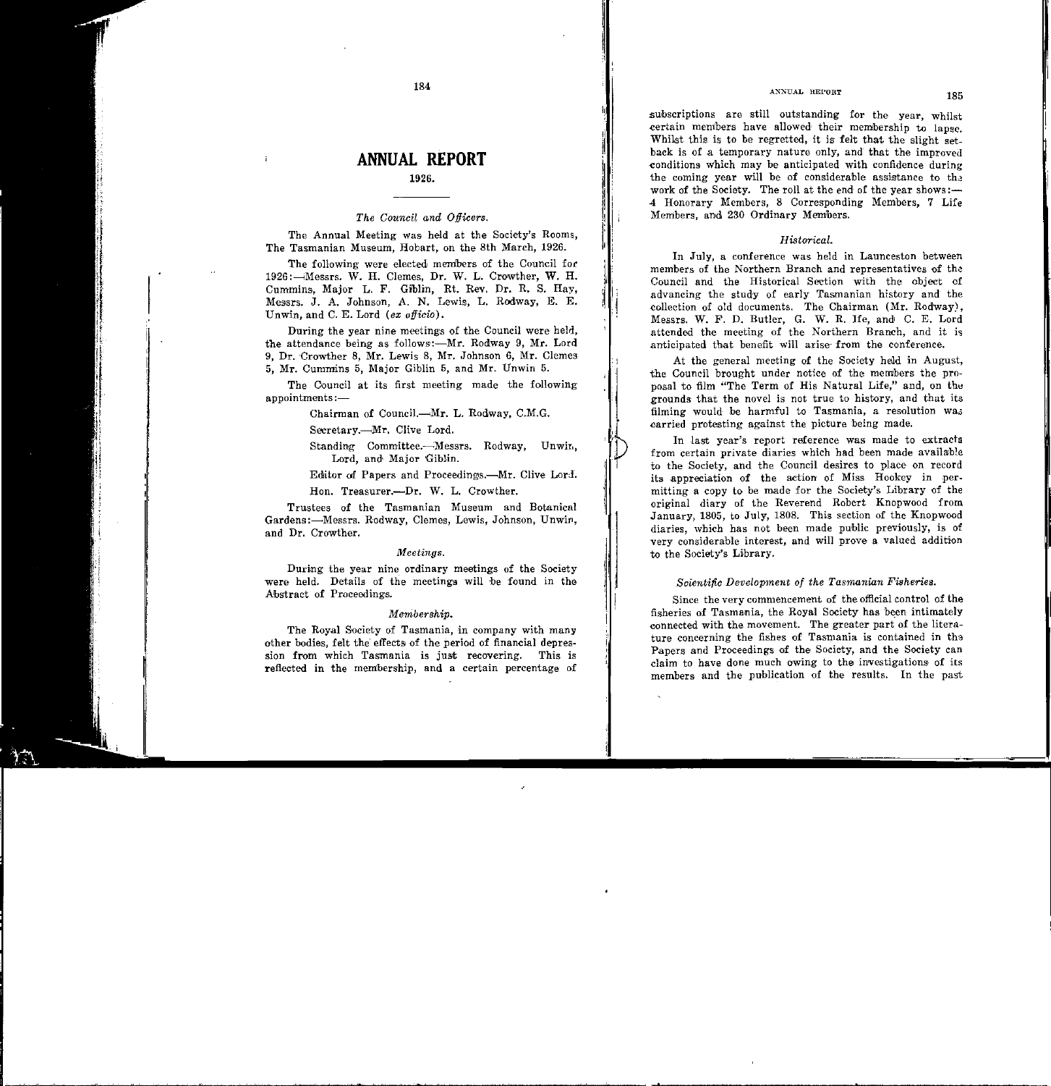subscriptions are still outstanding for the year, whilst certain members have allowed their membership to lapse. Whilst this is to be regretted, it is felt that the slight set. back is of a temporary nature only, and that the improved conditions which may be anticipated with confidence during the coming year will be of considerable assistance to the work of the Society. The roll at the end of the year shows:— 4 Honorary Members, 8 Corresponding Members, 7 Life Members, and 230 Ordinary Members.

#### Historical.

In July, a conference was held in Launceston between members of the Northern Branch and representatives of the Council and the Historical Section with the object of advancing the study of early Tasmanian history and the collection of old documents. The Chairman (Mr. Rodway). Messrs, W. F. D. Butler, G. W. R. Ife, and C. E. Lord attended the meeting of the Northern Branch, and it is anticipated that benefit will arise from the conference.

At the general meeting of the Society held in August, the Council brought under notice of the members the proposal to film "The Term of His Natural Life," and, on the grounds that the novel is not true to history, and that its filming would be harmful to Tasmania, a resolution was carried protesting against the picture being made.

In last year's report reference was made to extracts from certain private diaries which had been made available to the Society, and the Council desires to place on record its appreciation of the action of Miss Hookey in permitting a copy to be made for the Society's Library of the original diary of the Reverend Robert Knopwood from January, 1805, to July, 1808. This section of the Knopwood diaries, which has not been made public previously, is of very considerable interest, and will prove a valued addition to the Society's Library.

### Scientific Development of the Tasmanian Fisheries.

Since the very commencement of the official control of the fisheries of Tasmania, the Royal Society has been intimately connected with the movement. The greater part of the literature concerning the fishes of Tasmania is contained in the Papers and Proceedings of the Society, and the Society can claim to have done much owing to the investigations of its members and the publication of the results. In the past

184

# **ANNUAL REPORT**

### 1926.

#### The Council and Officers.

The Annual Meeting was held at the Society's Rooms, The Tasmanian Museum, Hobart, on the 8th March, 1926.

The following were elected members of the Council for 1926: - Messrs. W. H. Clemes, Dr. W. L. Crowther, W. H. Cummins, Major L. F. Giblin, Rt. Rev. Dr. R. S. Hay, Messrs, J. A. Johnson, A. N. Lewis, L. Rodway, E. E. Unwin, and C. E. Lord (ex officio).

During the year nine meetings of the Council were held, the attendance being as follows:-Mr. Rodway 9, Mr. Lord 9. Dr. Crowther 8, Mr. Lewis 8, Mr. Johnson 6, Mr. Clemes 5, Mr. Cummins 5, Major Giblin 5, and Mr. Unwin 5.

The Council at its first meeting made the following  $appointments:$ 

Chairman of Council.-Mr. L. Rodway, C.M.G.

Secretary.---Mr. Clive Lord.

Standing Committee.-Messrs. Rodway, Unwin. Lord, and Major Giblin.

Editor of Papers and Proceedings.-Mr. Clive Lord.

Hon. Treasurer.---Dr. W. L. Crowther.

Trustees of the Tasmanian Museum and Botanical Gardens:-Messrs. Rodway, Clemes, Lewis, Johnson, Unwin, and Dr. Crowther.

#### Meetings.

During the year nine ordinary meetings of the Society were held. Details of the meetings will be found in the Abstract of Proceedings.

#### Membership.

The Royal Society of Tasmania, in company with many other bodies, felt the effects of the period of financial depression from which Tasmania is just recovering. This is reflected in the membership, and a certain percentage of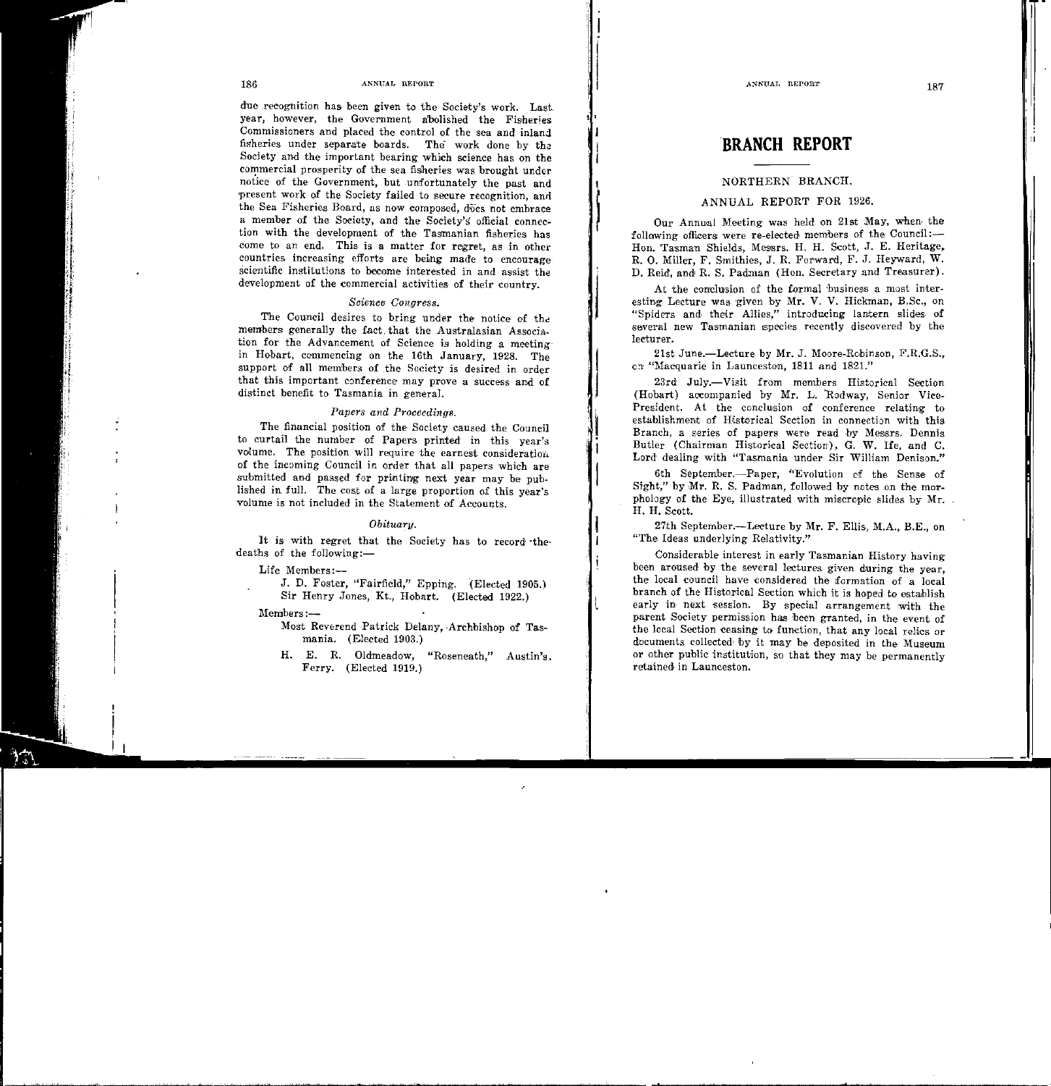due recognition has been given to the Society's work. Last. year, however, the Government abolished the Fisheries Commissioners and· placed the control of the sea and' inland. fisheries under separate boards. The work done by Society and the important bearing which science has on the commercial prosperity of the sea fisheries was brought under notice of the Government, but unfortunately the past and present work of the Society failed to secure recognition, and the Sea Fisheries Board, as now composed, does not embrace a member of the Society, and the Society's official connection with the development of the Tasmanian fisheries has come to an end. This is a matter for regret, as in other countries increasing efforts are being made to encourage scientific institutions to become interested in and assist the development of the commercial activities of their country.

# *Science Congress.*

The Council desires to bring under the notice of the members generally the fact. that the Australasian Associa. tion for the Advancement of Science is holding a meeting· in Hobart, commencing on the 16th January, 1928. The support of all members of the Society is desired in order that this important conference may prove a success and of distinct benefit to Tasmania in general.

#### *Papers and Proceedings.*

The financial position of the Society caused the Council to curtail the number of Papers printed in this year's volume. The position will require the earnest consideration. of the incoming Council in order that all papers which are submitted and passed for printing next year may be published in full. The cost of a large proportion of this year's volume is not included in the Statement of Accounts.

### *Obituary.*

It is with regret that the Society has to record ·the· deaths of the following:-

Life Members:-

J. D. Foster, "Fairfield," Epping. (Elected 1905.) Sir Henry Jones, Kt., Hobart. (Elected 1922.)

Members:-

Most Reverend Patrick Delany, ·Archbishop of Tasmania. (Elected 1903.)

H. E. R. Oldmeadow, "Roseneath," Austin's. Ferry. (Elected 1919.)

# BRANCH REPORT

# NORTHERN BRANCH.

# ANNUAL REPORT FOR 1926.

j

Our Annual Meeting was held on 21st May, when the following officers were re-elected members of the Council:-Hon. Tasman Shields, Messrs. H. H. Scott, J. E. Heritage, R. 0. Miller, F. Smithies, J. R. Forward, F. J. Heyward, W. D. Reid, and R. S. Padman (Hen. Secretary and Treasurer).

At the conclusion of the formal business a most interesting Lecture was. given by Mr. V. V. Hickman, B.Sc., on "Spiders and their Allies," introducing lantern slides of several new Tasmanian species recently discovered by the lecturer.

21st June.-Lecture by Mr. J. Moore-Rebinson, F.R.G.S., on "Macquarie in Launceston, 1811 and 1821."

23rd July.-Visit from members Historical Section (Hobart) aocompanied by Mr. L. 'Rodway, Senior Vice-President. At the conclusion of conference relating to establishment of Historical Section in connection with this Branch, a series of papers were read by Messrs. Dennis Butler (Chairman Historical Section), G. W. Ife, and C. Lord dealing with "Tasmania under Sir William Denison."

6th September.-Paper, "Evolution *ci* the Sense of Sight," by Mr. R. S. Padman, followed by notes on the morphology of the Eye, illustrated with miscropic slides by  $Mr.$ H. H. Scott.

27th September.--Lecture by Mr. F. Ellis, M.A., B.E., on "The Ideas underlying Relativity."

Considerable interest in early Tasmanian History having been aroused by the several lectures given during the year, the local council have considered the formation of a local branch of the Historical Section which it is hoped to establish early in next session. By special arrangement with the parent Society permission has been granted, in the event of the local Section ceasing to function, that any local relies or documents collected by it may be deposited in the Museum or other public institution, so that they may be permanently retained in Launceston.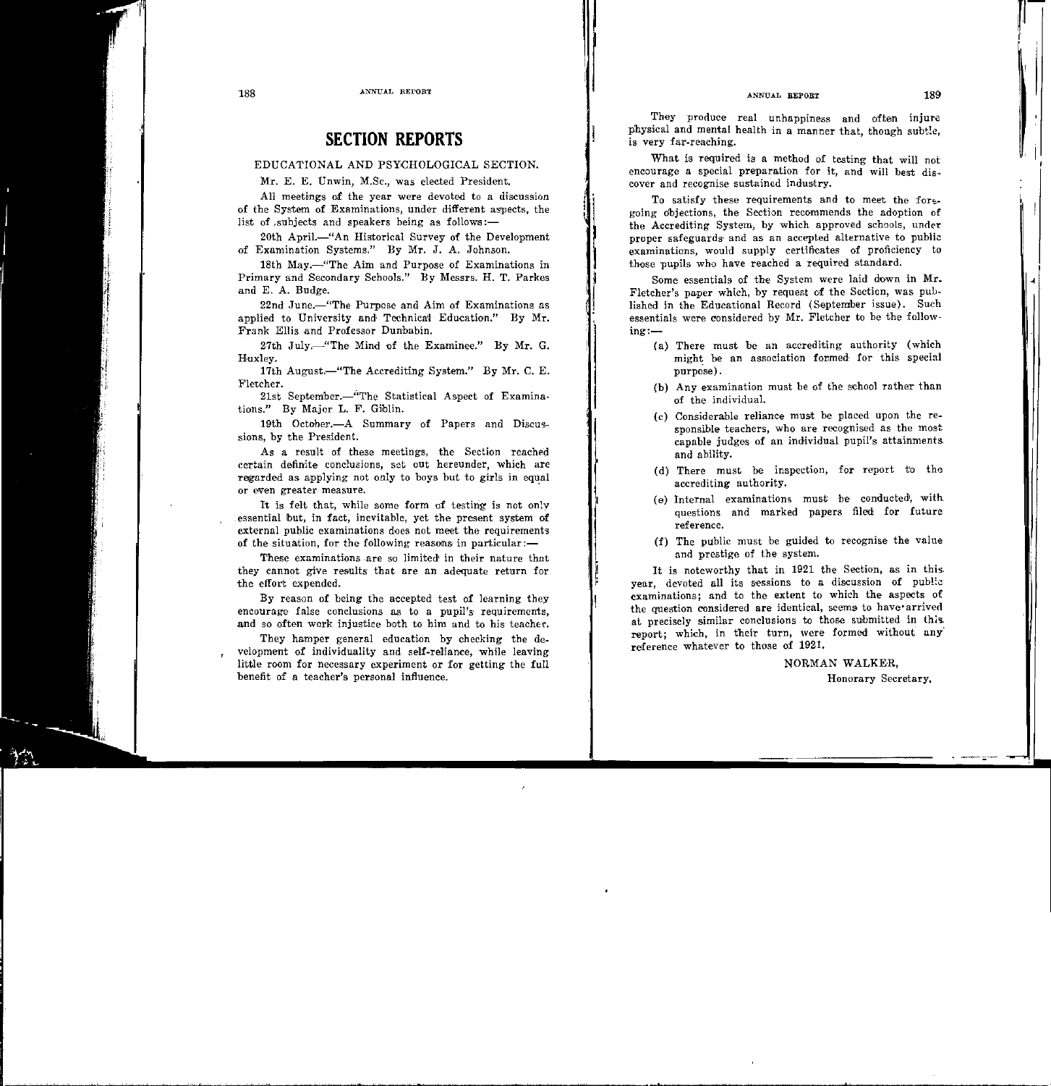188 ANNUAL REPORT

# SECTION REPORTS

# EDUCATIONAL AND PSYCHOLOGICAL SECTION.

Mr. E. E. Unwin, M.Sc., was elected President.

All meetings of the year were devoted to a discussion of the System of Examinations, under different asrpects, the list of subjects and speakers being as follows: $-$ 

20th April.—"An Historical Survey of the Development of Examination Systems." By Mr. J. A. Johnson.

18th May.—"The Aim and Purpose of Examinations in Primary and Secondary Schools." By Messrs. H. T. Parkes and E. A. Budge.

22nd June.—"The Purpose and Aim of Examinations as applied to University and' Technical} Education." By Mr. Frank Ellis and Professor Dunbabin.

27th July.-"The Mind of the Examinee." By Mr. G. Huxley.

17th August.-"The Accrediting System." By Mr. C. E. Fletcher.

21st September.-'<sup>"</sup>The Statistical Aspect of Examinations." By Major L. F. Giblin.

19th October.—A Summary of Papers and Discussions, by the President.

As a result of these meetings, the Section reached certain definite conclusions, set out hereunder, which are regarded as applying not only to boys but to girls in equal or even greater measure.

It is felt that, while some form of testing is not only essential but, in fact, inevitable, yet the present system of external public examinations does not meet the requirements of the situation, for the following reasons in particular: $-$ 

These examinations .are so limited' in their nature that they cannot give results that are an adequate return for the effort expended.

By reason of being the accepted test of learning they encourage false conclusions as to a pupil's requirements, and so often work injustice both to him and to his teacher.

They hamper general education by checking the de. velopment of individuality and self-reliance, while leaving little room for necessary experiment or for getting the full benefit of a teacher's personal influence.

They produce real unhappiness and often injure physical and mental health in a manner that, though subtle, is very far-reaching.

What is required is a method of testing that will not encourage a special preparation for it, and will best cover and recognise sustained industry.

To satisfy these requirements and to meet the foregoing objections, the Section recommends the adoption of the Accrediting System, by which approved schools, under proper safeguards and as an accepted alternative to public examinations, would supply certificates of proficiency to those pupils who have reached a required standard.

Some essentials of the System were laid down in Mr. Fletcher's paper which, by request of the Section, was published in the Educational Record (September issue). Such essentials were considered by Mr. Fletcher to be the follow $in$  $=$ 

- (a) There must be an accrediting authority (which might be an association formed for this special purpose).
- ('b) Any examination must be of the school rather than of the individual.
- (c) Considerable reliance must be placed upon the responsible teachers, who are recognised as the most capable judges of an individual pupil's attainments. and ability.
- (d) There must be inspection, for report to the accrediting authority.
- (e) Internal examinations must be conducted, with questions and marked papers filed for future reference.
- (f) The public must be guided to recognise the valne and prestige of the system.

It is noteworthy that in 1921 the Section, as in this. year, devoted all its sessions to a discussion of public examinations; and to the extent to which the aspects of the question considered are identical, seems to have arrived at precisely similar conclusions to those submitted in this. report; which, in their turn, were formed without any reference whatever to those of 1921.

> NORMAN WALKER, Honorary Secretary.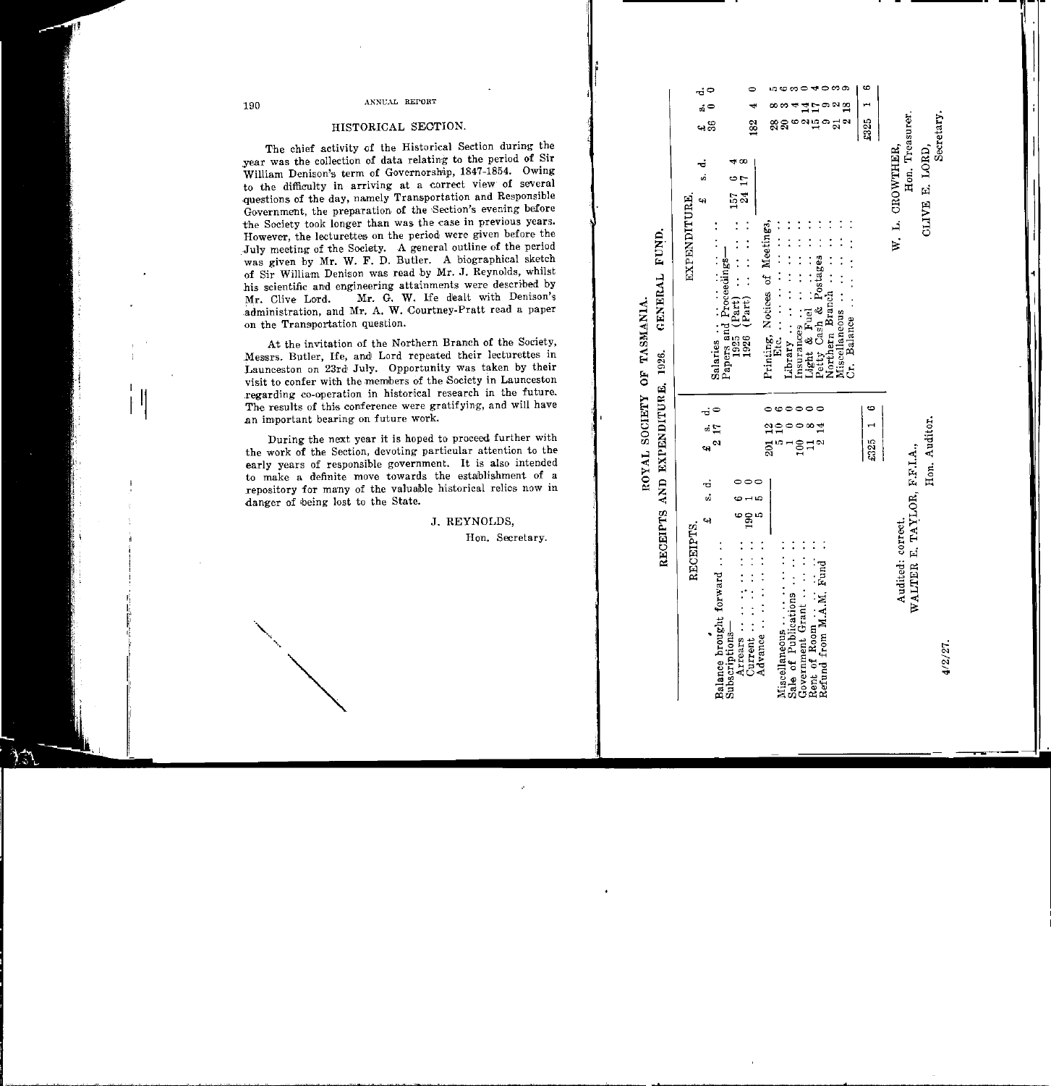# HISTORICAL SECTION.

The chief activity of the Historical Section during the year was the collection of data relating to the period of Sir William Denison's term of Governorship, 1847-1854. Owing to the difficulty in arriving at a correct view of several questions of the day, namely Transportation and Responsible Government, the preparation of the Section's evening before the Society took longer than was the case in previous years. However, the lecturettes on the period were given before the July meeting of the Society. A general outline of the period was given by Mr. W. F. D. Butler. A biographical sketch of Sir William Denison was read by Mr. J. Reynolds, whilst his scientific and engineering attainments were described by Mr. G. W. Ife dealt with Denison's Mr. Clive Lord. administration, and Mr. A. W. Courtney-Pratt read a paper on the Transportation question.

At the invitation of the Northern Branch of the Society, Messrs. Butler, Ife, and Lord repeated their lecturettes in Launceston on 23rd July. Opportunity was taken by their visit to confer with the members of the Society in Launceston regarding co-operation in historical research in the future. The results of this conference were gratifying, and will have an important bearing on future work.

During the next year it is hoped to proceed further with the work of the Section, devoting particular attention to the early years of responsible government. It is also intended to make a definite move towards the establishment of a repository for many of the valuable historical relics now in danger of being lost to the State.

J. REYNOLDS.

Hon. Secretary.

GENERAL FUND OF TASMANIA. 1926. AND EXPENDITURE, **SOCIETY** ROYAL RECEIPTS

 $\vec{r}$ 

|              | ó<br>.<br>មាស                                                                                                                                  | 182                               |                                                                                         |                                                                         | စု<br>မ                                                                                                          | 8325 1     |                                                  | Secretary.              |
|--------------|------------------------------------------------------------------------------------------------------------------------------------------------|-----------------------------------|-----------------------------------------------------------------------------------------|-------------------------------------------------------------------------|------------------------------------------------------------------------------------------------------------------|------------|--------------------------------------------------|-------------------------|
| EXPENDITURE, | 2.5<br>Salaries $\cdots$ $\cdots$ $\cdots$<br>Papers and Proceedings-                                                                          | $(926)$ $(12at)$ $(12at)$ $(250)$ | Printing, Notices of Meetings,<br>- ・ ・ ・ ・ ・ ・ ・ ・ ・ ・ ・ ・ ・ - 1<br>. National results | Insurances<br>Light & Fuel<br>Petty Cash & Postages                     | $\cdots$ $\cdots$ $\cdots$ $\cdots$ $\cdots$ spaced $\Box$<br>$Cr.$ Balance $\cdots$ $\cdots$<br>Vorthern Branch |            | Hon. Treasurer.<br>W. L. CROWTHER,               | CLIVE E. LORD,          |
| RECEIPTS.    | $\begin{array}{cc}\n\pounds & \mathbf{s} & \mathbf{d} \\ 2 & 17 & 0\n\end{array}$<br>$\ddot{a}$ .<br>Balance brought forward<br>Subscriptions- | Advance $\cdots$                  | ឌុក<br>ភូមិ                                                                             | $00001$<br>$1001$<br>$1010$<br>Sale of Publications<br>Government Grant |                                                                                                                  | $$325$ 1 6 | WALTER E. TAYLOR, F.F.I.A.,<br>Audited: correct. | Hon. Auditor.<br>4/2/27 |

**LOCOC COO COO**